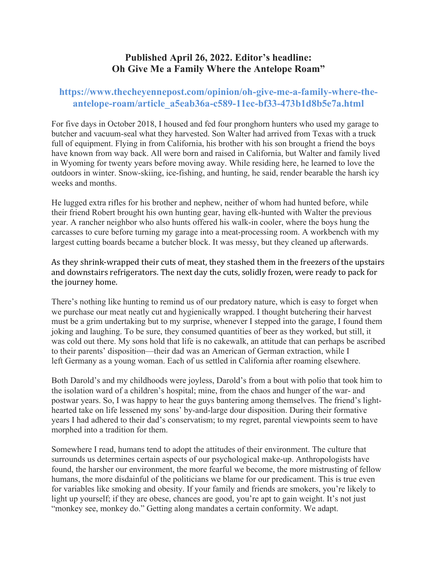## **Published April 26, 2022. Editor's headline: Oh Give Me a Family Where the Antelope Roam"**

## **https://www.thecheyennepost.com/opinion/oh-give-me-a-family-where-theantelope-roam/article\_a5eab36a-c589-11ec-bf33-473b1d8b5e7a.html**

For five days in October 2018, I housed and fed four pronghorn hunters who used my garage to butcher and vacuum-seal what they harvested. Son Walter had arrived from Texas with a truck full of equipment. Flying in from California, his brother with his son brought a friend the boys have known from way back. All were born and raised in California, but Walter and family lived in Wyoming for twenty years before moving away. While residing here, he learned to love the outdoors in winter. Snow-skiing, ice-fishing, and hunting, he said, render bearable the harsh icy weeks and months.

He lugged extra rifles for his brother and nephew, neither of whom had hunted before, while their friend Robert brought his own hunting gear, having elk-hunted with Walter the previous year. A rancher neighbor who also hunts offered his walk-in cooler, where the boys hung the carcasses to cure before turning my garage into a meat-processing room. A workbench with my largest cutting boards became a butcher block. It was messy, but they cleaned up afterwards.

As they shrink-wrapped their cuts of meat, they stashed them in the freezers of the upstairs and downstairs refrigerators. The next day the cuts, solidly frozen, were ready to pack for the journey home.

There's nothing like hunting to remind us of our predatory nature, which is easy to forget when we purchase our meat neatly cut and hygienically wrapped. I thought butchering their harvest must be a grim undertaking but to my surprise, whenever I stepped into the garage, I found them joking and laughing. To be sure, they consumed quantities of beer as they worked, but still, it was cold out there. My sons hold that life is no cakewalk, an attitude that can perhaps be ascribed to their parents' disposition—their dad was an American of German extraction, while I left Germany as a young woman. Each of us settled in California after roaming elsewhere.

Both Darold's and my childhoods were joyless, Darold's from a bout with polio that took him to the isolation ward of a children's hospital; mine, from the chaos and hunger of the war- and postwar years. So, I was happy to hear the guys bantering among themselves. The friend's lighthearted take on life lessened my sons' by-and-large dour disposition. During their formative years I had adhered to their dad's conservatism; to my regret, parental viewpoints seem to have morphed into a tradition for them.

Somewhere I read, humans tend to adopt the attitudes of their environment. The culture that surrounds us determines certain aspects of our psychological make-up. Anthropologists have found, the harsher our environment, the more fearful we become, the more mistrusting of fellow humans, the more disdainful of the politicians we blame for our predicament. This is true even for variables like smoking and obesity. If your family and friends are smokers, you're likely to light up yourself; if they are obese, chances are good, you're apt to gain weight. It's not just "monkey see, monkey do." Getting along mandates a certain conformity. We adapt.